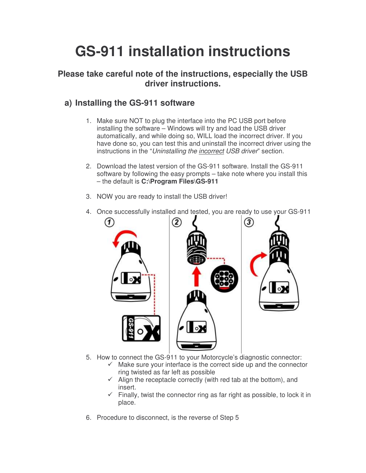## **GS-911 installation instructions**

## **Please take careful note of the instructions, especially the USB driver instructions.**

## **a) Installing the GS-911 software**

- 1. Make sure NOT to plug the interface into the PC USB port before installing the software – Windows will try and load the USB driver automatically, and while doing so, WILL load the incorrect driver. If you have done so, you can test this and uninstall the incorrect driver using the instructions in the "*Uninstalling the incorrect USB driver*" section.
- 2. Download the latest version of the GS-911 software. Install the GS-911 software by following the easy prompts – take note where you install this – the default is **C:\Program Files\GS-911**
- 3. NOW you are ready to install the USB driver!



4. Once successfully installed and tested, you are ready to use your GS-911

- 5. How to connect the GS-911 to your Motorcycle's diagnostic connector:
	- $\checkmark$  Make sure your interface is the correct side up and the connector ring twisted as far left as possible
	- $\checkmark$  Align the receptacle correctly (with red tab at the bottom), and insert.
	- $\checkmark$  Finally, twist the connector ring as far right as possible, to lock it in place.
- 6. Procedure to disconnect, is the reverse of Step 5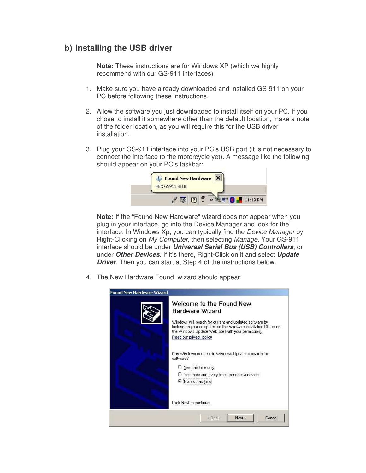## **b) Installing the USB driver**

**Note:** These instructions are for Windows XP (which we highly recommend with our GS-911 interfaces)

- 1. Make sure you have already downloaded and installed GS-911 on your PC before following these instructions.
- 2. Allow the software you just downloaded to install itself on your PC. If you chose to install it somewhere other than the default location, make a note of the folder location, as you will require this for the USB driver installation.
- 3. Plug your GS-911 interface into your PC's USB port (it is not necessary to connect the interface to the motorcycle yet). A message like the following should appear on your PC's taskbar:



**Note:** If the "Found New Hardware" wizard does not appear when you plug in your interface, go into the Device Manager and look for the interface. In Windows Xp, you can typically find the *Device Manager* by Right-Clicking on *My Computer*, then selecting *Manage*. Your GS-911 interface should be under *Universal Serial Bus (USB) Controllers*, or under *Other Devices*. If it's there, Right-Click on it and select *Update Driver*. Then you can start at Step 4 of the instructions below.

4. The New Hardware Found wizard should appear:

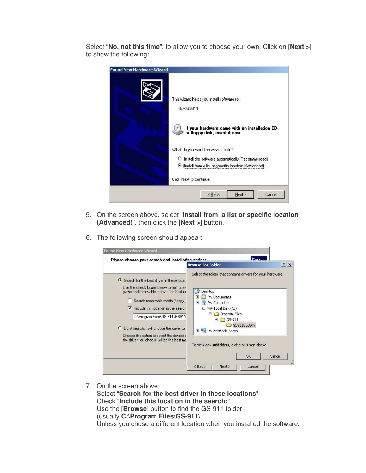Select "**No, not this time**", to allow you to choose your own. Click on [**Next >**] to show the following:



- 5. On the screen above, select "**Install from a list or specific location (Advanced)**", then click the [**Next >**] button.
- 6. The following screen should appear:

|                                                                                                                                                                                                                                                                                                                                                                                          | <b>Browse For Folder</b>                                                                                                                                                                                                                                                                                                                                     | ? x    |
|------------------------------------------------------------------------------------------------------------------------------------------------------------------------------------------------------------------------------------------------------------------------------------------------------------------------------------------------------------------------------------------|--------------------------------------------------------------------------------------------------------------------------------------------------------------------------------------------------------------------------------------------------------------------------------------------------------------------------------------------------------------|--------|
| Search for the best driver in these locati<br>Use the check boxes below to limit or ex-<br>paths and removable media. The best dr<br>Search removable media (floppy,<br>Include this location in the search<br>⊽<br>C:\Program Files\GS-911\GS911<br>Don't search. I will choose the driver to<br>Choose this option to select the device o<br>the driver you choose will be the best ma | Select the folder that contains drivers for your hardware.<br><b>Desktop</b><br>暖<br>My Documents<br>My Computer<br>$\overline{+}$<br>$\mathbb{H}$ $\blacktriangleright$ Local Disk (C:)<br>Program Files<br>$\overline{+}$<br>GS-911<br>$\overline{+}$<br>GS911USBDrv<br>My Network Places<br>$+$<br>To view any subfolders, click a plus sign above.<br>OK | Cancel |

7. On the screen above:

Select "**Search for the best driver in these locations**" Check "**Include this location in the search:**" Use the [**Browse**] button to find the GS-911 folder (usually **C:\Program Files\GS-911\** Unless you chose a different location when you installed the software.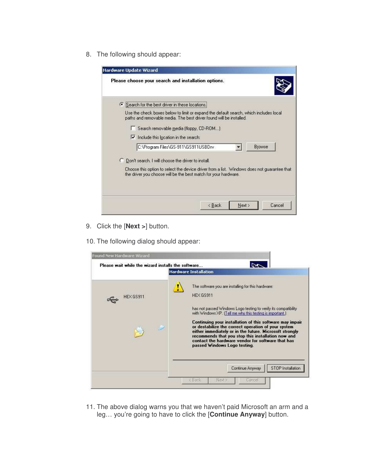8. The following should appear:



- 9. Click the [**Next >**] button.
- 10. The following dialog should appear:



11. The above dialog warns you that we haven't paid Microsoft an arm and a leg… you're going to have to click the [**Continue Anyway**] button.